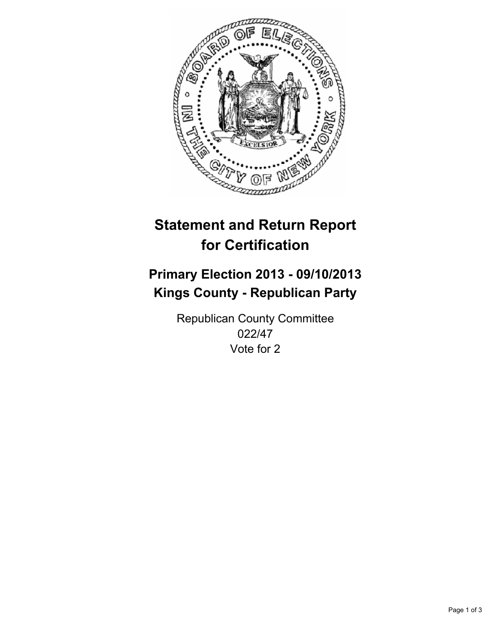

# **Statement and Return Report for Certification**

# **Primary Election 2013 - 09/10/2013 Kings County - Republican Party**

Republican County Committee 022/47 Vote for 2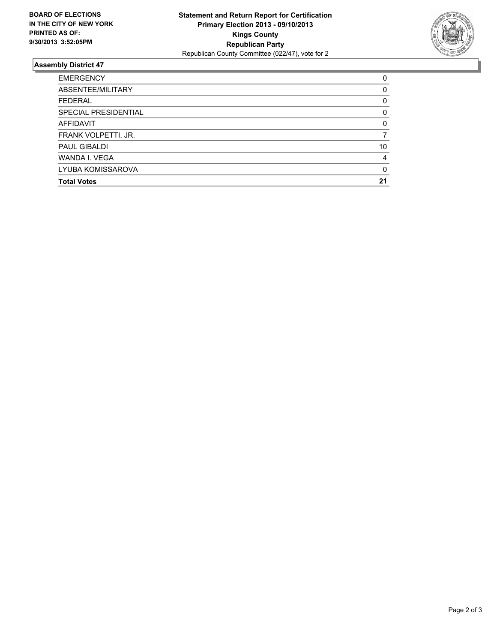

## **Assembly District 47**

| <b>EMERGENCY</b>     | 0        |
|----------------------|----------|
| ABSENTEE/MILITARY    | 0        |
| <b>FEDERAL</b>       | 0        |
| SPECIAL PRESIDENTIAL | 0        |
| <b>AFFIDAVIT</b>     | 0        |
| FRANK VOLPETTI, JR.  |          |
| <b>PAUL GIBALDI</b>  | 10       |
| WANDA I. VEGA        | 4        |
| LYUBA KOMISSAROVA    | $\Omega$ |
| <b>Total Votes</b>   | 21       |